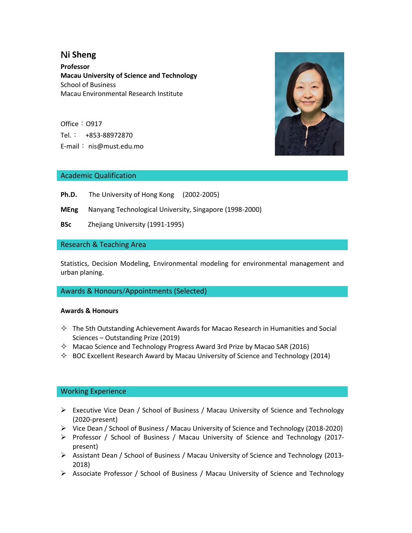# **Ni Sheng**

**Professor Macau University of Science and Technology** School of Business Macau Environmental Research Institute

Office: 0917 Tel.: +853-88972870 E-mail: nis@must.edu.mo



## Academic Qualification

- Ph.D. The University of Hong Kong (2002-2005)
- **MEng** Nanyang Technological University, Singapore (1998-2000)
- **BSc** Zhejiang University (1991-1995)

## Research & Teaching Area

Statistics, Decision Modeling, Environmental modeling for environmental management and urban planing.

#### Awards & Honours/Appointments (Selected)

#### **Awards & Honours**

- $\Diamond$  The 5th Outstanding Achievement Awards for Macao Research in Humanities and Social Sciences – Outstanding Prize (2019)
- $\Diamond$  Macao Science and Technology Progress Award 3rd Prize by Macao SAR (2016)
- $\Diamond$  BOC Excellent Research Award by Macau University of Science and Technology (2014)

#### Working Experience

- Executive Vice Dean / School of Business / Macau University of Science and Technology (2020-present)
- $\triangleright$  Vice Dean / School of Business / Macau University of Science and Technology (2018-2020)
- $\triangleright$  Professor / School of Business / Macau University of Science and Technology (2017present)
- Assistant Dean / School of Business / Macau University of Science and Technology (2013- 2018)
- Associate Professor / School of Business / Macau University of Science and Technology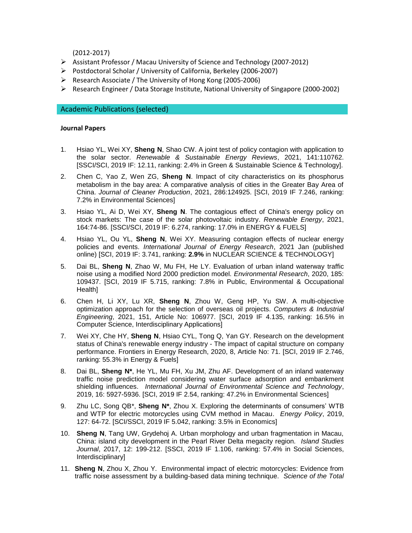(2012-2017)

- Assistant Professor / Macau University of Science and Technology (2007-2012)
- Postdoctoral Scholar / University of California, Berkeley (2006-2007)
- $\triangleright$  Research Associate / The University of Hong Kong (2005-2006)
- Research Engineer / Data Storage Institute, National University of Singapore (2000-2002)

#### Academic Publications (selected)

#### **Journal Papers**

- 1. Hsiao YL, Wei XY, **Sheng N**, Shao CW. A joint test of policy contagion with application to the solar sector. *Renewable & Sustainable Energy Reviews*, 2021, 141:110762. [SSCI/SCI, 2019 IF: 12.11, ranking: 2.4% in Green & Sustainable Science & Technology].
- 2. Chen C, Yao Z, Wen ZG, **Sheng N**. Impact of city characteristics on its phosphorus metabolism in the bay area: A comparative analysis of cities in the Greater Bay Area of China. *Journal of Cleaner Production*, 2021, 286:124925. [SCI, 2019 IF 7.246, ranking: 7.2% in Environmental Sciences]
- 3. Hsiao YL, Ai D, Wei XY, **Sheng N**. The contagious effect of China's energy policy on stock markets: The case of the solar photovoltaic industry. *Renewable Energy*, 2021, 164:74-86. [SSCI/SCI, 2019 IF: 6.274, ranking: 17.0% in ENERGY & FUELS]
- 4. Hsiao YL, Ou YL, **Sheng N**, Wei XY. Measuring contagion effects of nuclear energy policies and events. *International Journal of Energy Research*, 2021 Jan (published online) [SCI, 2019 IF: 3.741, ranking: **2.9%** in NUCLEAR SCIENCE & TECHNOLOGY]
- 5. Dai BL, **Sheng N**, Zhao W, Mu FH, He LY. Evaluation of urban inland waterway traffic noise using a modified Nord 2000 prediction model. *Environmental Research*, 2020, 185: 109437. [SCI, 2019 IF 5.715, ranking: 7.8% in Public, Environmental & Occupational Health]
- 6. Chen H, Li XY, Lu XR, **Sheng N**, Zhou W, Geng HP, Yu SW. A multi-objective optimization approach for the selection of overseas oil projects. *Computers & Industrial Engineering*, 2021, 151, Article No: 106977. [SCI, 2019 IF 4.135, ranking: 16.5% in Computer Science, Interdisciplinary Applications]
- 7. Wei XY, Che HY, **Sheng N**, Hsiao CYL, Tong Q, Yan GY. Research on the development status of China's renewable energy industry - The impact of capital structure on company performance. Frontiers in Energy Research, 2020, 8, Article No: 71. [SCI, 2019 IF 2.746, ranking: 55.3% in Energy & Fuels]
- 8. Dai BL, **Sheng N\***, He YL, Mu FH, Xu JM, Zhu AF. Development of an inland waterway traffic noise prediction model considering water surface adsorption and embankment shielding influences. *International Journal of Environmental Science and Technology*, 2019, 16: 5927-5936. [SCI, 2019 IF 2.54, ranking: 47.2% in Environmental Sciences]
- 9. Zhu LC, Song QB\*, **Sheng N\***, Zhou X. Exploring the determinants of consumers' WTB and WTP for electric motorcycles using CVM method in Macau. *Energy Policy*, 2019, 127: 64-72. [SCI/SSCI, 2019 IF 5.042, ranking: 3.5% in Economics]
- 10. **Sheng N**, Tang UW, Grydehoj A. Urban morphology and urban fragmentation in Macau, China: island city development in the Pearl River Delta megacity region. *Island Studies Journal*, 2017, 12: 199-212. [SSCI, 2019 IF 1.106, ranking: 57.4% in Social Sciences, Interdisciplinary]
- 11. **Sheng N**, Zhou X, Zhou Y. Environmental impact of electric motorcycles: Evidence from traffic noise assessment by a building-based data mining technique. *Science of the Total*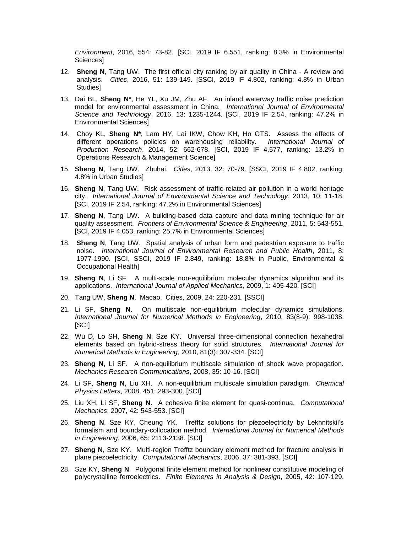*Environment*, 2016, 554: 73-82. [SCI, 2019 IF 6.551, ranking: 8.3% in Environmental Sciences]

- 12. **Sheng N**, Tang UW. The first official city ranking by air quality in China A review and analysis. *Cities*, 2016, 51: 139-149. [SSCI, 2019 IF 4.802, ranking: 4.8% in Urban Studies]
- 13. Dai BL, **Sheng N**\*, He YL, Xu JM, Zhu AF. An inland waterway traffic noise prediction model for environmental assessment in China. *International Journal of Environmental Science and Technology*, 2016, 13: 1235-1244. [SCI, 2019 IF 2.54, ranking: 47.2% in Environmental Sciences]
- 14. Choy KL, **Sheng N\***, Lam HY, Lai IKW, Chow KH, Ho GTS. Assess the effects of different operations policies on warehousing reliability. *International Journal of Production Research*, 2014, 52: 662-678. [SCI, 2019 IF 4.577, ranking: 13.2% in Operations Research & Management Science]
- 15. **Sheng N**, Tang UW. Zhuhai. *Cities*, 2013, 32: 70-79. [SSCI, 2019 IF 4.802, ranking: 4.8% in Urban Studies]
- 16. **Sheng N**, Tang UW. Risk assessment of traffic-related air pollution in a world heritage city. *International Journal of Environmental Science and Technology*, 2013, 10: 11-18. [SCI, 2019 IF 2.54, ranking: 47.2% in Environmental Sciences]
- 17. **Sheng N**, Tang UW. A building-based data capture and data mining technique for air quality assessment. *Frontiers of Environmental Science & Engineering*, 2011, 5: 543-551. [SCI, 2019 IF 4.053, ranking: 25.7% in Environmental Sciences]
- 18. **Sheng N**, Tang UW. Spatial analysis of urban form and pedestrian exposure to traffic noise. *International Journal of Environmental Research and Public Health*, 2011, 8: 1977-1990. [SCI, SSCI, 2019 IF 2.849, ranking: 18.8% in Public, Environmental & Occupational Health]
- 19. **Sheng N**, Li SF. A multi-scale non-equilibrium molecular dynamics algorithm and its applications. *International Journal of Applied Mechanics*, 2009, 1: 405-420. [SCI]
- 20. Tang UW, **Sheng N**. Macao. Cities, 2009, 24: 220-231. [SSCI]
- 21. Li SF, **Sheng N**. On multiscale non-equilibrium molecular dynamics simulations. *International Journal for Numerical Methods in Engineering*, 2010, 83(8-9): 998-1038. [SCI]
- 22. Wu D, Lo SH, **Sheng N**, Sze KY. Universal three-dimensional connection hexahedral elements based on hybrid-stress theory for solid structures. *International Journal for Numerical Methods in Engineering*, 2010, 81(3): 307-334. [SCI]
- 23. **Sheng N**, Li SF. A non-equilibrium multiscale simulation of shock wave propagation. *Mechanics Research Communications*, 2008, 35: 10-16. [SCI]
- 24. Li SF, **Sheng N**, Liu XH. A non-equilibrium multiscale simulation paradigm. *Chemical Physics Letters*, 2008, 451: 293-300. [SCI]
- 25. Liu XH, Li SF, **Sheng N**. A cohesive finite element for quasi-continua. *Computational Mechanics*, 2007, 42: 543-553. [SCI]
- 26. **Sheng N**, Sze KY, Cheung YK. Trefftz solutions for piezoelectricity by Lekhnitskii's formalism and boundary-collocation method. *International Journal for Numerical Methods in Engineering*, 2006, 65: 2113-2138. [SCI]
- 27. **Sheng N**, Sze KY. Multi-region Trefftz boundary element method for fracture analysis in plane piezoelectricity. *Computational Mechanics*, 2006, 37: 381-393. [SCI]
- 28. Sze KY, **Sheng N**. Polygonal finite element method for nonlinear constitutive modeling of polycrystalline ferroelectrics. *Finite Elements in Analysis & Design*, 2005, 42: 107-129.